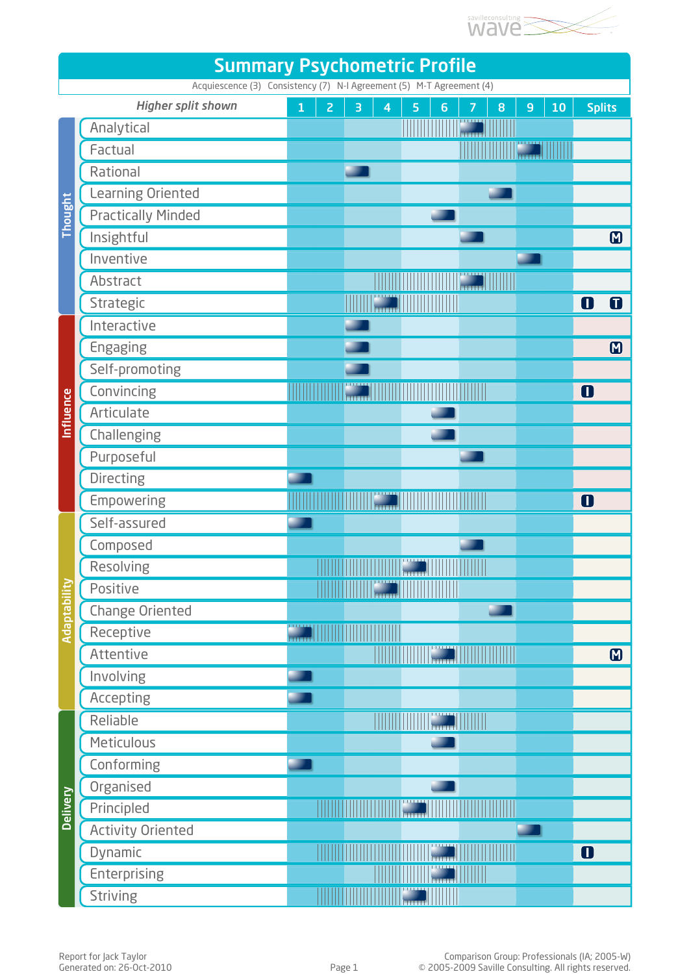

| <b>Summary Psychometric Profile</b>                                                               |                           |              |                |                                                                                                                       |                         |   |                 |                  |   |                |    |                |                |
|---------------------------------------------------------------------------------------------------|---------------------------|--------------|----------------|-----------------------------------------------------------------------------------------------------------------------|-------------------------|---|-----------------|------------------|---|----------------|----|----------------|----------------|
| Acquiescence (3) Consistency (7) N-I Agreement (5) M-T Agreement (4)<br><b>Higher split shown</b> |                           |              |                |                                                                                                                       |                         |   |                 |                  |   |                |    |                |                |
| Thought                                                                                           | Analytical                | $\mathbf{1}$ | $\overline{2}$ | 3                                                                                                                     | $\overline{\mathbf{4}}$ | 5 | $6\phantom{1}6$ | 7<br><b>LEET</b> | 8 | $\overline{9}$ | 10 | <b>Splits</b>  |                |
|                                                                                                   | Factual                   |              |                |                                                                                                                       |                         |   |                 |                  |   |                |    |                |                |
|                                                                                                   | Rational                  |              |                |                                                                                                                       |                         |   |                 |                  |   |                |    |                |                |
|                                                                                                   | Learning Oriented         |              |                |                                                                                                                       |                         |   |                 |                  |   |                |    |                |                |
|                                                                                                   | <b>Practically Minded</b> |              |                |                                                                                                                       |                         |   |                 |                  |   |                |    |                |                |
|                                                                                                   | Insightful                |              |                |                                                                                                                       |                         |   |                 |                  |   |                |    |                | $\blacksquare$ |
|                                                                                                   | Inventive                 |              |                |                                                                                                                       |                         |   |                 |                  |   |                |    |                |                |
|                                                                                                   | Abstract                  |              |                |                                                                                                                       |                         |   |                 |                  |   |                |    |                |                |
|                                                                                                   | Strategic                 |              |                |                                                                                                                       |                         |   |                 |                  |   |                |    | O              | 0              |
| Influence                                                                                         | Interactive               |              |                |                                                                                                                       |                         |   |                 |                  |   |                |    |                |                |
|                                                                                                   | Engaging                  |              |                |                                                                                                                       |                         |   |                 |                  |   |                |    |                | $\blacksquare$ |
|                                                                                                   | Self-promoting            |              |                |                                                                                                                       |                         |   |                 |                  |   |                |    |                |                |
|                                                                                                   | Convincing                |              |                |                                                                                                                       |                         |   |                 |                  |   |                |    | O              |                |
|                                                                                                   | Articulate                |              |                |                                                                                                                       |                         |   |                 |                  |   |                |    |                |                |
|                                                                                                   | Challenging               |              |                |                                                                                                                       |                         |   |                 |                  |   |                |    |                |                |
|                                                                                                   | Purposeful                |              |                |                                                                                                                       |                         |   |                 |                  |   |                |    |                |                |
|                                                                                                   | Directing                 |              |                |                                                                                                                       |                         |   |                 |                  |   |                |    |                |                |
|                                                                                                   | Empowering                |              |                |                                                                                                                       |                         |   |                 |                  |   |                |    | O              |                |
| Adaptability                                                                                      | Self-assured              |              |                |                                                                                                                       |                         |   |                 |                  |   |                |    |                |                |
|                                                                                                   | Composed                  |              |                |                                                                                                                       |                         |   |                 |                  |   |                |    |                |                |
|                                                                                                   | Resolving                 |              |                | <u> Timografia de la provincia de la provincia de la provincia de la provincia de la provincia de la provincia de</u> |                         |   |                 |                  |   |                |    |                |                |
|                                                                                                   | Positive                  |              |                |                                                                                                                       |                         |   |                 |                  |   |                |    |                |                |
|                                                                                                   | <b>Change Oriented</b>    |              |                |                                                                                                                       |                         |   |                 |                  |   |                |    |                |                |
|                                                                                                   | Receptive                 | mm           |                |                                                                                                                       |                         |   |                 |                  |   |                |    |                |                |
|                                                                                                   | Attentive                 |              |                |                                                                                                                       |                         |   |                 |                  |   |                |    |                | $\blacksquare$ |
|                                                                                                   | Involving                 |              |                |                                                                                                                       |                         |   |                 |                  |   |                |    |                |                |
|                                                                                                   | Accepting                 |              |                |                                                                                                                       |                         |   |                 |                  |   |                |    |                |                |
| <b>Delivery</b>                                                                                   | Reliable                  |              |                |                                                                                                                       |                         |   |                 |                  |   |                |    |                |                |
|                                                                                                   | Meticulous                |              |                |                                                                                                                       |                         |   |                 |                  |   |                |    |                |                |
|                                                                                                   | Conforming                |              |                |                                                                                                                       |                         |   |                 |                  |   |                |    |                |                |
|                                                                                                   | Organised                 |              |                |                                                                                                                       |                         |   |                 |                  |   |                |    |                |                |
|                                                                                                   | Principled                |              |                |                                                                                                                       |                         |   |                 |                  |   |                |    |                |                |
|                                                                                                   | <b>Activity Oriented</b>  |              |                |                                                                                                                       |                         |   |                 |                  |   |                |    |                |                |
|                                                                                                   | Dynamic                   |              |                |                                                                                                                       |                         |   |                 |                  |   |                |    | $\blacksquare$ |                |
|                                                                                                   | <b>Enterprising</b>       |              |                |                                                                                                                       |                         |   |                 |                  |   |                |    |                |                |
|                                                                                                   | <b>Striving</b>           |              |                |                                                                                                                       |                         |   |                 |                  |   |                |    |                |                |